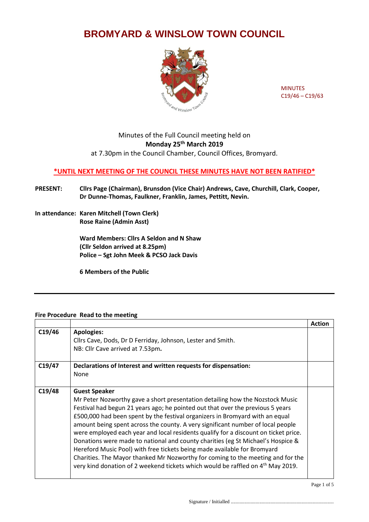## **BROMYARD & WINSLOW TOWN COUNCIL**



MINUTES C19/46 – C19/63

## Minutes of the Full Council meeting held on **Monday 25th March 2019** at 7.30pm in the Council Chamber, Council Offices, Bromyard.

## **\*UNTIL NEXT MEETING OF THE COUNCIL THESE MINUTES HAVE NOT BEEN RATIFIED\***

- **PRESENT: Cllrs Page (Chairman), Brunsdon (Vice Chair) Andrews, Cave, Churchill, Clark, Cooper, Dr Dunne-Thomas, Faulkner, Franklin, James, Pettitt, Nevin.**
- **In attendance: Karen Mitchell (Town Clerk) Rose Raine (Admin Asst)**

**Ward Members: Cllrs A Seldon and N Shaw (Cllr Seldon arrived at 8.25pm) Police – Sgt John Meek & PCSO Jack Davis**

**6 Members of the Public**

## **Fire Procedure Read to the meeting**

|        |                                                                                                                                                                                                                                                                                                                                                                                                                                                                                                                                                                                                                                                                                                                                                                                                    | <b>Action</b> |
|--------|----------------------------------------------------------------------------------------------------------------------------------------------------------------------------------------------------------------------------------------------------------------------------------------------------------------------------------------------------------------------------------------------------------------------------------------------------------------------------------------------------------------------------------------------------------------------------------------------------------------------------------------------------------------------------------------------------------------------------------------------------------------------------------------------------|---------------|
| C19/46 | <b>Apologies:</b><br>Cllrs Cave, Dods, Dr D Ferriday, Johnson, Lester and Smith.                                                                                                                                                                                                                                                                                                                                                                                                                                                                                                                                                                                                                                                                                                                   |               |
|        | NB: Cllr Cave arrived at 7.53pm.                                                                                                                                                                                                                                                                                                                                                                                                                                                                                                                                                                                                                                                                                                                                                                   |               |
|        |                                                                                                                                                                                                                                                                                                                                                                                                                                                                                                                                                                                                                                                                                                                                                                                                    |               |
| C19/47 | Declarations of Interest and written requests for dispensation:<br>None                                                                                                                                                                                                                                                                                                                                                                                                                                                                                                                                                                                                                                                                                                                            |               |
| C19/48 | <b>Guest Speaker</b><br>Mr Peter Nozworthy gave a short presentation detailing how the Nozstock Music<br>Festival had begun 21 years ago; he pointed out that over the previous 5 years<br>£500,000 had been spent by the festival organizers in Bromyard with an equal<br>amount being spent across the county. A very significant number of local people<br>were employed each year and local residents qualify for a discount on ticket price.<br>Donations were made to national and county charities (eg St Michael's Hospice &<br>Hereford Music Pool) with free tickets being made available for Bromyard<br>Charities. The Mayor thanked Mr Nozworthy for coming to the meeting and for the<br>very kind donation of 2 weekend tickets which would be raffled on 4 <sup>th</sup> May 2019. |               |

 ${\bf Signature\ {\it l}\ {\it Initialled}\ {\it .} \dots {\it .} \dots {\it .} \dots {\it .} \dots {\it .} \dots {\it .} \dots {\it .} \dots {\it .} \dots {\it .} \dots {\it .} \dots {\it .} \dots {\it .} \dots {\it .} \dots {\it .} \dots {\it .} \dots {\it .} \dots {\it .} \dots {\it .} \dots {\it .} \dots {\it .} \dots {\it .} \dots {\it .} \dots {\it .} \dots {\it .} \dots {\it .} \dots {\it .} \dots {\it .} \dots {\it .} \dots {\it .} \dots {\it .} \dots {\it .} \dots {\it .} \dots {\it .} \dots {\it .} \dots {\it .$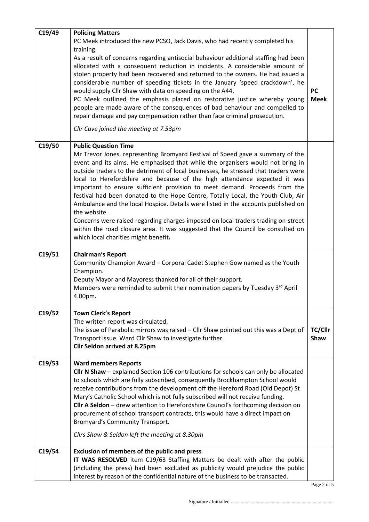| C19/49 | <b>Policing Matters</b><br>PC Meek introduced the new PCSO, Jack Davis, who had recently completed his<br>training.<br>As a result of concerns regarding antisocial behaviour additional staffing had been<br>allocated with a consequent reduction in incidents. A considerable amount of<br>stolen property had been recovered and returned to the owners. He had issued a<br>considerable number of speeding tickets in the January 'speed crackdown', he<br>would supply Cllr Shaw with data on speeding on the A44.<br>PC Meek outlined the emphasis placed on restorative justice whereby young<br>people are made aware of the consequences of bad behaviour and compelled to<br>repair damage and pay compensation rather than face criminal prosecution.<br>Cllr Cave joined the meeting at 7.53pm                                                | <b>PC</b><br><b>Meek</b> |
|--------|------------------------------------------------------------------------------------------------------------------------------------------------------------------------------------------------------------------------------------------------------------------------------------------------------------------------------------------------------------------------------------------------------------------------------------------------------------------------------------------------------------------------------------------------------------------------------------------------------------------------------------------------------------------------------------------------------------------------------------------------------------------------------------------------------------------------------------------------------------|--------------------------|
| C19/50 | <b>Public Question Time</b><br>Mr Trevor Jones, representing Bromyard Festival of Speed gave a summary of the<br>event and its aims. He emphasised that while the organisers would not bring in<br>outside traders to the detriment of local businesses, he stressed that traders were<br>local to Herefordshire and because of the high attendance expected it was<br>important to ensure sufficient provision to meet demand. Proceeds from the<br>festival had been donated to the Hope Centre, Totally Local, the Youth Club, Air<br>Ambulance and the local Hospice. Details were listed in the accounts published on<br>the website.<br>Concerns were raised regarding charges imposed on local traders trading on-street<br>within the road closure area. It was suggested that the Council be consulted on<br>which local charities might benefit. |                          |
| C19/51 | <b>Chairman's Report</b><br>Community Champion Award - Corporal Cadet Stephen Gow named as the Youth<br>Champion.<br>Deputy Mayor and Mayoress thanked for all of their support.<br>Members were reminded to submit their nomination papers by Tuesday 3rd April<br>4.00pm.                                                                                                                                                                                                                                                                                                                                                                                                                                                                                                                                                                                |                          |
| C19/52 | <b>Town Clerk's Report</b><br>The written report was circulated.<br>The issue of Parabolic mirrors was raised - Cllr Shaw pointed out this was a Dept of<br>Transport issue. Ward Cllr Shaw to investigate further.<br>Cllr Seldon arrived at 8.25pm                                                                                                                                                                                                                                                                                                                                                                                                                                                                                                                                                                                                       | TC/Cllr<br>Shaw          |
| C19/53 | <b>Ward members Reports</b><br>Cllr N Shaw - explained Section 106 contributions for schools can only be allocated<br>to schools which are fully subscribed, consequently Brockhampton School would<br>receive contributions from the development off the Hereford Road (Old Depot) St<br>Mary's Catholic School which is not fully subscribed will not receive funding.<br>Cllr A Seldon - drew attention to Herefordshire Council's forthcoming decision on<br>procurement of school transport contracts, this would have a direct impact on<br>Bromyard's Community Transport.<br>Cllrs Shaw & Seldon left the meeting at 8.30pm                                                                                                                                                                                                                        |                          |
| C19/54 | <b>Exclusion of members of the public and press</b><br>IT WAS RESOLVED item C19/63 Staffing Matters be dealt with after the public<br>(including the press) had been excluded as publicity would prejudice the public<br>interest by reason of the confidential nature of the business to be transacted.                                                                                                                                                                                                                                                                                                                                                                                                                                                                                                                                                   |                          |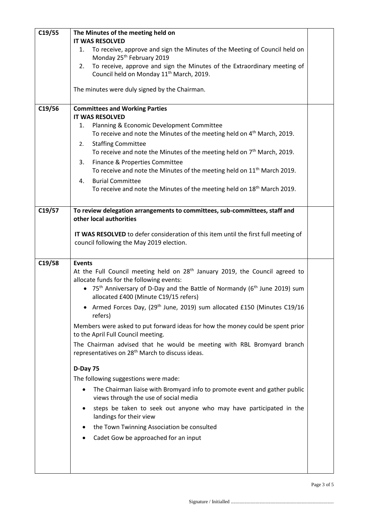| C19/55 | The Minutes of the meeting held on                                                                                                          |  |
|--------|---------------------------------------------------------------------------------------------------------------------------------------------|--|
|        | <b>IT WAS RESOLVED</b>                                                                                                                      |  |
|        | To receive, approve and sign the Minutes of the Meeting of Council held on<br>1.<br>Monday 25 <sup>th</sup> February 2019                   |  |
|        | To receive, approve and sign the Minutes of the Extraordinary meeting of<br>2.<br>Council held on Monday 11 <sup>th</sup> March, 2019.      |  |
|        | The minutes were duly signed by the Chairman.                                                                                               |  |
| C19/56 | <b>Committees and Working Parties</b>                                                                                                       |  |
|        | <b>IT WAS RESOLVED</b>                                                                                                                      |  |
|        | Planning & Economic Development Committee<br>1.<br>To receive and note the Minutes of the meeting held on 4 <sup>th</sup> March, 2019.      |  |
|        | <b>Staffing Committee</b><br>2.                                                                                                             |  |
|        | To receive and note the Minutes of the meeting held on 7 <sup>th</sup> March, 2019.                                                         |  |
|        | 3.<br>Finance & Properties Committee                                                                                                        |  |
|        | To receive and note the Minutes of the meeting held on 11 <sup>th</sup> March 2019.                                                         |  |
|        | <b>Burial Committee</b><br>4.                                                                                                               |  |
|        | To receive and note the Minutes of the meeting held on 18 <sup>th</sup> March 2019.                                                         |  |
| C19/57 | To review delegation arrangements to committees, sub-committees, staff and                                                                  |  |
|        | other local authorities                                                                                                                     |  |
|        |                                                                                                                                             |  |
|        | IT WAS RESOLVED to defer consideration of this item until the first full meeting of                                                         |  |
|        | council following the May 2019 election.                                                                                                    |  |
| C19/58 | <b>Events</b>                                                                                                                               |  |
|        | At the Full Council meeting held on 28 <sup>th</sup> January 2019, the Council agreed to<br>allocate funds for the following events:        |  |
|        | • 75 <sup>th</sup> Anniversary of D-Day and the Battle of Normandy (6 <sup>th</sup> June 2019) sum<br>allocated £400 (Minute C19/15 refers) |  |
|        | Armed Forces Day, (29 <sup>th</sup> June, 2019) sum allocated £150 (Minutes C19/16<br>refers)                                               |  |
|        | Members were asked to put forward ideas for how the money could be spent prior<br>to the April Full Council meeting.                        |  |
|        | The Chairman advised that he would be meeting with RBL Bromyard branch<br>representatives on 28 <sup>th</sup> March to discuss ideas.       |  |
|        | D-Day 75                                                                                                                                    |  |
|        | The following suggestions were made:                                                                                                        |  |
|        | The Chairman liaise with Bromyard info to promote event and gather public<br>$\bullet$<br>views through the use of social media             |  |
|        | steps be taken to seek out anyone who may have participated in the<br>٠<br>landings for their view                                          |  |
|        | the Town Twinning Association be consulted<br>٠                                                                                             |  |
|        | Cadet Gow be approached for an input                                                                                                        |  |
|        |                                                                                                                                             |  |
|        |                                                                                                                                             |  |
|        |                                                                                                                                             |  |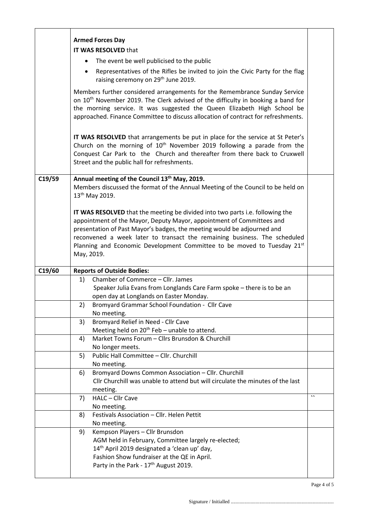|        | <b>Armed Forces Day</b>                                                                                                                                                                                                                                                                                                                                                                                 |         |
|--------|---------------------------------------------------------------------------------------------------------------------------------------------------------------------------------------------------------------------------------------------------------------------------------------------------------------------------------------------------------------------------------------------------------|---------|
|        | IT WAS RESOLVED that                                                                                                                                                                                                                                                                                                                                                                                    |         |
|        | The event be well publicised to the public                                                                                                                                                                                                                                                                                                                                                              |         |
|        | Representatives of the Rifles be invited to join the Civic Party for the flag<br>raising ceremony on 29 <sup>th</sup> June 2019.                                                                                                                                                                                                                                                                        |         |
|        | Members further considered arrangements for the Remembrance Sunday Service<br>on 10 <sup>th</sup> November 2019. The Clerk advised of the difficulty in booking a band for<br>the morning service. It was suggested the Queen Elizabeth High School be<br>approached. Finance Committee to discuss allocation of contract for refreshments.                                                             |         |
|        | IT WAS RESOLVED that arrangements be put in place for the service at St Peter's<br>Church on the morning of 10 <sup>th</sup> November 2019 following a parade from the<br>Conquest Car Park to the Church and thereafter from there back to Cruxwell<br>Street and the public hall for refreshments.                                                                                                    |         |
| C19/59 | Annual meeting of the Council 13 <sup>th</sup> May, 2019.                                                                                                                                                                                                                                                                                                                                               |         |
|        | Members discussed the format of the Annual Meeting of the Council to be held on<br>13 <sup>th</sup> May 2019.                                                                                                                                                                                                                                                                                           |         |
|        | IT WAS RESOLVED that the meeting be divided into two parts i.e. following the<br>appointment of the Mayor, Deputy Mayor, appointment of Committees and<br>presentation of Past Mayor's badges, the meeting would be adjourned and<br>reconvened a week later to transact the remaining business. The scheduled<br>Planning and Economic Development Committee to be moved to Tuesday 21st<br>May, 2019. |         |
| C19/60 | <b>Reports of Outside Bodies:</b>                                                                                                                                                                                                                                                                                                                                                                       |         |
|        | Chamber of Commerce - Cllr. James<br>1)                                                                                                                                                                                                                                                                                                                                                                 |         |
|        | Speaker Julia Evans from Longlands Care Farm spoke - there is to be an                                                                                                                                                                                                                                                                                                                                  |         |
|        | open day at Longlands on Easter Monday.                                                                                                                                                                                                                                                                                                                                                                 |         |
|        | Bromyard Grammar School Foundation - Cllr Cave<br>2)                                                                                                                                                                                                                                                                                                                                                    |         |
|        | No meeting.                                                                                                                                                                                                                                                                                                                                                                                             |         |
|        | Bromyard Relief in Need - Cllr Cave<br>3)                                                                                                                                                                                                                                                                                                                                                               |         |
|        | Meeting held on 20 <sup>th</sup> Feb - unable to attend.                                                                                                                                                                                                                                                                                                                                                |         |
|        |                                                                                                                                                                                                                                                                                                                                                                                                         |         |
|        | Market Towns Forum - Cllrs Brunsdon & Churchill<br>4)                                                                                                                                                                                                                                                                                                                                                   |         |
|        | No longer meets.<br>Public Hall Committee - Cllr. Churchill                                                                                                                                                                                                                                                                                                                                             |         |
|        | 5)<br>No meeting.                                                                                                                                                                                                                                                                                                                                                                                       |         |
|        | Bromyard Downs Common Association - Cllr. Churchill<br>6)                                                                                                                                                                                                                                                                                                                                               |         |
|        | Cllr Churchill was unable to attend but will circulate the minutes of the last                                                                                                                                                                                                                                                                                                                          |         |
|        | meeting.                                                                                                                                                                                                                                                                                                                                                                                                |         |
|        | HALC - Cllr Cave<br>7)                                                                                                                                                                                                                                                                                                                                                                                  | $\cdot$ |
|        | No meeting.                                                                                                                                                                                                                                                                                                                                                                                             |         |
|        | Festivals Association - Cllr. Helen Pettit<br>8)                                                                                                                                                                                                                                                                                                                                                        |         |
|        | No meeting.                                                                                                                                                                                                                                                                                                                                                                                             |         |
|        | Kempson Players - Cllr Brunsdon<br>9)                                                                                                                                                                                                                                                                                                                                                                   |         |
|        | AGM held in February, Committee largely re-elected;                                                                                                                                                                                                                                                                                                                                                     |         |
|        | 14 <sup>th</sup> April 2019 designated a 'clean up' day,                                                                                                                                                                                                                                                                                                                                                |         |
|        | Fashion Show fundraiser at the QE in April.<br>Party in the Park - 17 <sup>th</sup> August 2019.                                                                                                                                                                                                                                                                                                        |         |